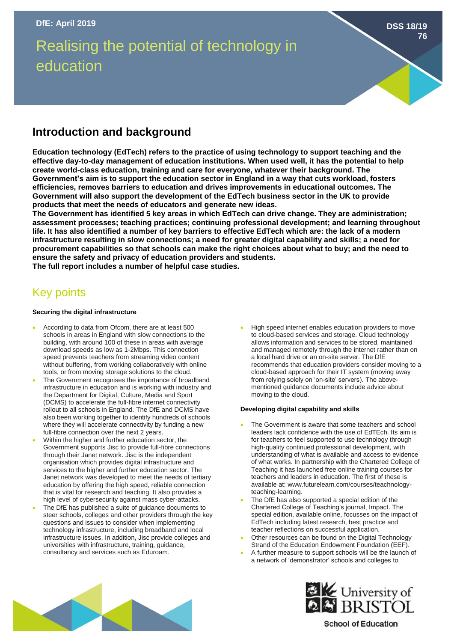# Realising the potential of technology in education

**DSS 18/19 76**

# **Introduction and background**

**Education technology (EdTech) refers to the practice of using technology to support teaching and the effective day-to-day management of education institutions. When used well, it has the potential to help create world-class education, training and care for everyone, whatever their background. The Government's aim is to support the education sector in England in a way that cuts workload, fosters efficiencies, removes barriers to education and drives improvements in educational outcomes. The Government will also support the development of the EdTech business sector in the UK to provide products that meet the needs of educators and generate new ideas.**

**The Government has identified 5 key areas in which EdTech can drive change. They are administration; assessment processes; teaching practices; continuing professional development; and learning throughout life. It has also identified a number of key barriers to effective EdTech which are: the lack of a modern infrastructure resulting in slow connections; a need for greater digital capability and skills; a need for procurement capabilities so that schools can make the right choices about what to buy; and the need to ensure the safety and privacy of education providers and students.** 

**The full report includes a number of helpful case studies.** 

# Key points

### **Securing the digital infrastructure**

- According to data from Ofcom, there are at least 500 schools in areas in England with slow connections to the building, with around 100 of these in areas with average download speeds as low as 1-2Mbps. This connection speed prevents teachers from streaming video content without buffering, from working collaboratively with online tools, or from moving storage solutions to the cloud.
- The Government recognises the importance of broadband infrastructure in education and is working with industry and the Department for Digital, Culture, Media and Sport (DCMS) to accelerate the full-fibre internet connectivity rollout to all schools in England. The DfE and DCMS have also been working together to identify hundreds of schools where they will accelerate connectivity by funding a new full-fibre connection over the next 2 years.
- Within the higher and further education sector, the Government supports Jisc to provide full-fibre connections through their Janet network. Jisc is the independent organisation which provides digital infrastructure and services to the higher and further education sector. The Janet network was developed to meet the needs of tertiary education by offering the high speed, reliable connection that is vital for research and teaching. It also provides a high level of cybersecurity against mass cyber-attacks.
- The DfE has published a suite of guidance documents to steer schools, colleges and other providers through the key questions and issues to consider when implementing technology infrastructure, including broadband and local infrastructure issues. In addition, Jisc provide colleges and universities with infrastructure, training, guidance, consultancy and services such as Eduroam.

• High speed internet enables education providers to move to cloud-based services and storage. Cloud technology allows information and services to be stored, maintained and managed remotely through the internet rather than on a local hard drive or an on-site server. The DfE recommends that education providers consider moving to a cloud-based approach for their IT system (moving away from relying solely on 'on-site' servers). The abovementioned guidance documents include advice about moving to the cloud.

#### **Developing digital capability and skills**

- The Government is aware that some teachers and school leaders lack confidence with the use of EdTEch. Its aim is for teachers to feel supported to use technology through high-quality continued professional development, with understanding of what is available and access to evidence of what works. In partnership with the Chartered College of Teaching it has launched free online training courses for teachers and leaders in education. The first of these is available at: www.futurelearn.com/courses/teachnologyteaching-learning.
- The DfE has also supported a special edition of the Chartered College of Teaching's journal, Impact. The special edition, available online, focusses on the impact of EdTech including latest research, best practice and teacher reflections on successful application.
- Other resources can be found on the Digital Technology Strand of the Education Endowment Foundation (EEF).
- A further measure to support schools will be the launch of a network of 'demonstrator' schools and colleges to





## **School of Education**